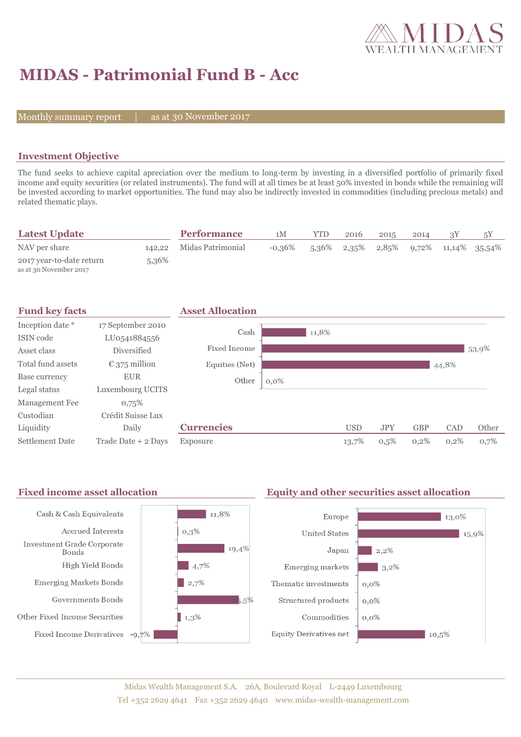

# **MIDAS - Patrimonial Fund B - Acc**

Monthly summary report  $|$ 

as at 30 November 2017

#### **Investment Objective**

The fund seeks to achieve capital apreciation over the medium to long-term by investing in a diversified portfolio of primarily fixed income and equity securities (or related instruments). The fund will at all times be at least 50% invested in bonds while the remaining will be invested according to market opportunities. The fund may also be indirectly invested in commodities (including precious metals) and related thematic plays.

| <b>Latest Update</b>                               |       | <b>Performance</b>       | 1М        | YTD   | 2016 | 2015 | 2014 |                                                | 5Υ |
|----------------------------------------------------|-------|--------------------------|-----------|-------|------|------|------|------------------------------------------------|----|
| NAV per share                                      |       | 142,22 Midas Patrimonial | $-0.36\%$ | 5.36% |      |      |      | $2,35\%$ $2,85\%$ $9,72\%$ $11,14\%$ $35,54\%$ |    |
| 2017 year-to-date return<br>as at 30 November 2017 | 5,36% |                          |           |       |      |      |      |                                                |    |



#### Fixed income asset allocation **Equity and other securities asset allocation** Cash & Cash Equivalents  $11,8%$ Europe  $\vert$  13,0% Accrued Interests  $0,3\%$ **United States**  $15,9%$ Investment Grade Corporate  $19,4%$ Japan  $2,2%$ Bonds High Yield Bonds  $\frac{1}{4,7\%}$ Emerging markets  $3,2\%$ **Emerging Markets Bonds**  $\frac{1}{2,7\%}$ Thematic investments  $0,0\%$ Governments Bonds  $5.5%$ Structured products  $0,0\%$ Other Fixed Income Securities  $1,3%$ Commodities  $0.0\%$ Fixed Income Derivatives -9,7% **Equity Derivatives net**  $10,5%$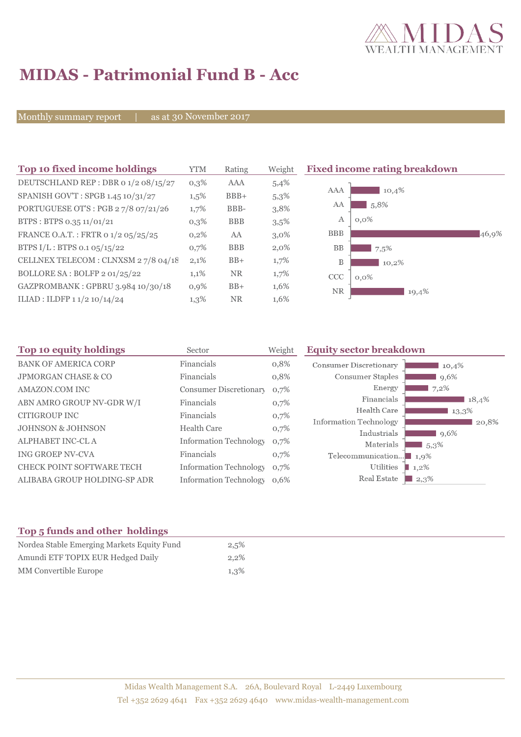

# **MIDAS - Patrimonial Fund B - Acc**

Monthly summary report | as at 30 November 2017

| Top 10 fixed income holdings         | YTM     | Weight<br>Rating |         | <b>Fixed income rating breakdown</b> |  |
|--------------------------------------|---------|------------------|---------|--------------------------------------|--|
| DEUTSCHLAND REP : DBR 0 1/2 08/15/27 | $0,3\%$ | AAA              | 5,4%    |                                      |  |
| SPANISH GOV'T: SPGB 1.45 10/31/27    | $1,5\%$ | $BBB+$           | 5,3%    | 10,4%<br><b>AAA</b>                  |  |
| PORTUGUESE OT'S : PGB 27/8 07/21/26  | 1,7%    | BBB-             | 3,8%    | 5,8%<br>AA                           |  |
| BTPS: BTPS 0.35 11/01/21             | $0,3\%$ | <b>BBB</b>       | 3,5%    | А<br>$0,0\%$                         |  |
| FRANCE O.A.T.: FRTR 0 1/2 05/25/25   | $0,2\%$ | AA               | $3,0\%$ | <b>BBB</b><br>46,9%                  |  |
| BTPS $I/L$ : BTPS 0.1 05/15/22       | 0,7%    | <b>BBB</b>       | $2,0\%$ | <b>BB</b><br>7,5%                    |  |
| CELLNEX TELECOM : CLNXSM 27/8 04/18  | 2,1%    | $BB+$            | 1,7%    | B<br>10,2%                           |  |
| BOLLORE SA: BOLFP 2 01/25/22         | 1,1%    | NR.              | 1,7%    | <b>CCC</b><br>$0,0\%$                |  |
| GAZPROMBANK: GPBRU 3.984 10/30/18    | $0,9\%$ | $BB+$            | 1,6%    | <b>NR</b><br>19,4%                   |  |
| ILIAD : ILDFP 1 1/2 10/14/24         | $1,3\%$ | NR.              | 1,6%    |                                      |  |

| Sector             | Weight | <b>Equity sector breakdown</b>                                                                                                                         |                                                                                        |
|--------------------|--------|--------------------------------------------------------------------------------------------------------------------------------------------------------|----------------------------------------------------------------------------------------|
| Financials         | 0,8%   | Consumer Discretionary                                                                                                                                 | 10,4%                                                                                  |
| Financials         | 0,8%   | Consumer Staples                                                                                                                                       | 9,6%                                                                                   |
|                    | 0,7%   | Energy                                                                                                                                                 | 7,2%                                                                                   |
| Financials         | 0,7%   | Financials                                                                                                                                             | 18,4%                                                                                  |
| Financials         |        |                                                                                                                                                        | 13,3%                                                                                  |
| <b>Health Care</b> | 0,7%   |                                                                                                                                                        | 20,8%                                                                                  |
|                    |        |                                                                                                                                                        | 9,6%                                                                                   |
| Financials         | 0,7%   |                                                                                                                                                        | $1,5,3\%$<br>1,9%                                                                      |
|                    |        | Utilities                                                                                                                                              | $1,2\%$                                                                                |
|                    |        | Real Estate                                                                                                                                            | $\blacksquare$ 2,3%                                                                    |
|                    |        | <b>Consumer Discretionary</b><br>0,7%<br><b>Information Technology</b><br>0,7%<br><b>Information Technology</b><br>0,7%<br>Information Technology 0,6% | Health Care<br>Information Technology<br>Industrials<br>Materials<br>Telecommunication |

### **Top 5 funds and other holdings**

| Nordea Stable Emerging Markets Equity Fund | 2,5%    |
|--------------------------------------------|---------|
| Amundi ETF TOPIX EUR Hedged Daily          | $2.2\%$ |
| MM Convertible Europe                      | 1,3%    |